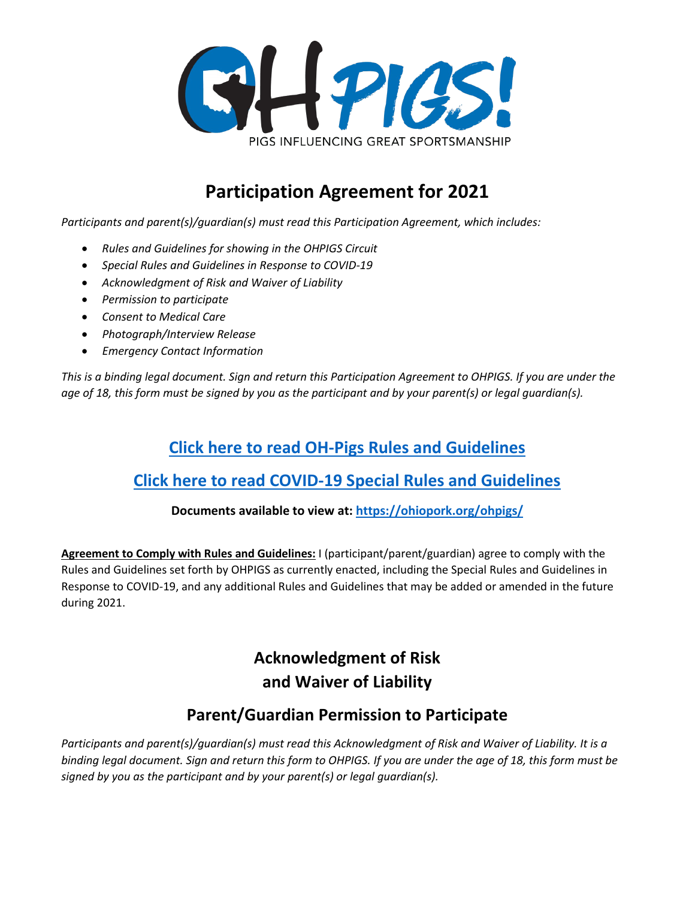

# **Participation Agreement for 2021**

*Participants and parent(s)/guardian(s) must read this Participation Agreement, which includes:*

- *Rules and Guidelines for showing in the OHPIGS Circuit*
- *Special Rules and Guidelines in Response to COVID-19*
- *Acknowledgment of Risk and Waiver of Liability*
- *Permission to participate*
- *Consent to Medical Care*
- *Photograph/Interview Release*
- *Emergency Contact Information*

*This is a binding legal document. Sign and return this Participation Agreement to OHPIGS. If you are under the age of 18, this form must be signed by you as the participant and by your parent(s) or legal guardian(s).*

### **[Click here to read OH-Pigs Rules and Guidelines](https://ohiopork.org/wp-content/uploads/2021/03/OHPIGS-Circuit-Guidelines-2021-rev-2021.03.26-2.pdf)**

### **[Click here to read COVID-19 Special Rules and Guidelines](https://ohiopork.org/wp-content/uploads/2021/04/2021-COVID-Guidelines_3.18.21.pdf)**

#### **Documents available to view at:<https://ohiopork.org/ohpigs/>**

**Agreement to Comply with Rules and Guidelines:** I (participant/parent/guardian) agree to comply with the Rules and Guidelines set forth by OHPIGS as currently enacted, including the Special Rules and Guidelines in Response to COVID-19, and any additional Rules and Guidelines that may be added or amended in the future during 2021.

## **Acknowledgment of Risk and Waiver of Liability**

### **Parent/Guardian Permission to Participate**

*Participants and parent(s)/guardian(s) must read this Acknowledgment of Risk and Waiver of Liability. It is a binding legal document. Sign and return this form to OHPIGS. If you are under the age of 18, this form must be signed by you as the participant and by your parent(s) or legal guardian(s).*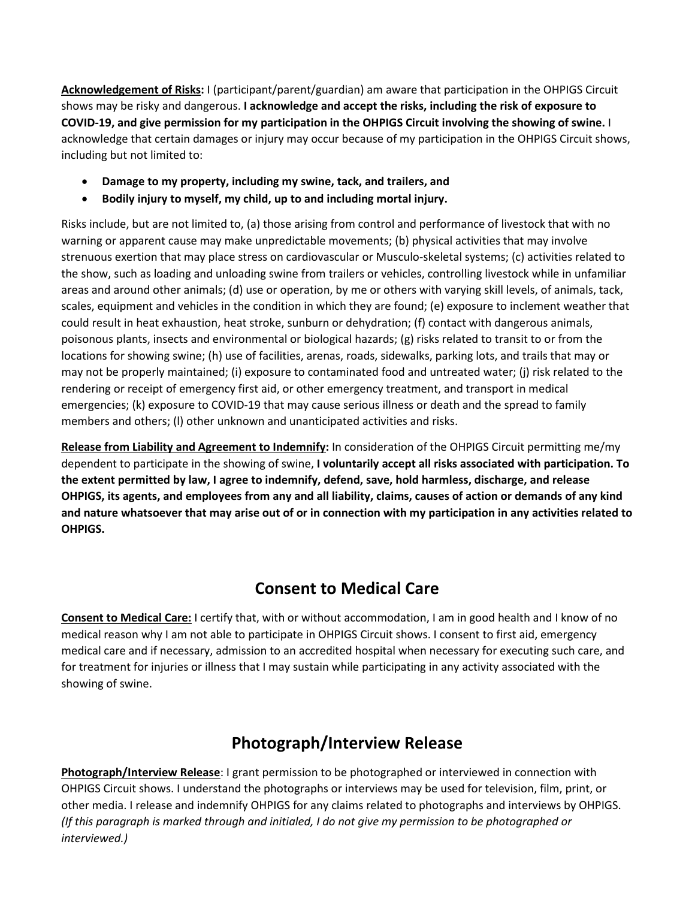**Acknowledgement of Risks:** I (participant/parent/guardian) am aware that participation in the OHPIGS Circuit shows may be risky and dangerous. **I acknowledge and accept the risks, including the risk of exposure to COVID-19, and give permission for my participation in the OHPIGS Circuit involving the showing of swine.** I acknowledge that certain damages or injury may occur because of my participation in the OHPIGS Circuit shows, including but not limited to:

- **Damage to my property, including my swine, tack, and trailers, and**
- **Bodily injury to myself, my child, up to and including mortal injury.**

Risks include, but are not limited to, (a) those arising from control and performance of livestock that with no warning or apparent cause may make unpredictable movements; (b) physical activities that may involve strenuous exertion that may place stress on cardiovascular or Musculo-skeletal systems; (c) activities related to the show, such as loading and unloading swine from trailers or vehicles, controlling livestock while in unfamiliar areas and around other animals; (d) use or operation, by me or others with varying skill levels, of animals, tack, scales, equipment and vehicles in the condition in which they are found; (e) exposure to inclement weather that could result in heat exhaustion, heat stroke, sunburn or dehydration; (f) contact with dangerous animals, poisonous plants, insects and environmental or biological hazards; (g) risks related to transit to or from the locations for showing swine; (h) use of facilities, arenas, roads, sidewalks, parking lots, and trails that may or may not be properly maintained; (i) exposure to contaminated food and untreated water; (j) risk related to the rendering or receipt of emergency first aid, or other emergency treatment, and transport in medical emergencies; (k) exposure to COVID-19 that may cause serious illness or death and the spread to family members and others; (l) other unknown and unanticipated activities and risks.

**Release from Liability and Agreement to Indemnify:** In consideration of the OHPIGS Circuit permitting me/my dependent to participate in the showing of swine, **I voluntarily accept all risks associated with participation. To the extent permitted by law, I agree to indemnify, defend, save, hold harmless, discharge, and release OHPIGS, its agents, and employees from any and all liability, claims, causes of action or demands of any kind and nature whatsoever that may arise out of or in connection with my participation in any activities related to OHPIGS.**

## **Consent to Medical Care**

**Consent to Medical Care:** I certify that, with or without accommodation, I am in good health and I know of no medical reason why I am not able to participate in OHPIGS Circuit shows. I consent to first aid, emergency medical care and if necessary, admission to an accredited hospital when necessary for executing such care, and for treatment for injuries or illness that I may sustain while participating in any activity associated with the showing of swine.

## **Photograph/Interview Release**

**Photograph/Interview Release**: I grant permission to be photographed or interviewed in connection with OHPIGS Circuit shows. I understand the photographs or interviews may be used for television, film, print, or other media. I release and indemnify OHPIGS for any claims related to photographs and interviews by OHPIGS. *(If this paragraph is marked through and initialed, I do not give my permission to be photographed or interviewed.)*